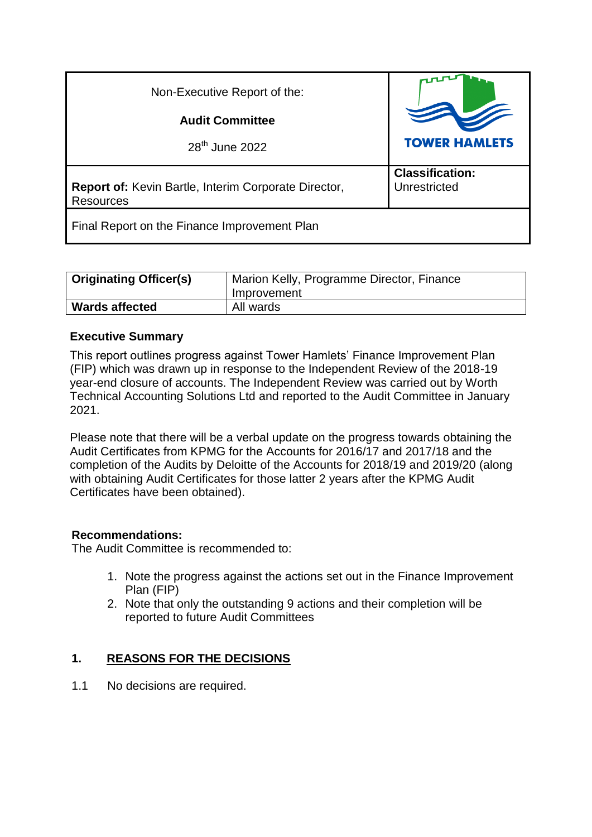| Non-Executive Report of the:                                                    |                                        |
|---------------------------------------------------------------------------------|----------------------------------------|
| <b>Audit Committee</b>                                                          |                                        |
| 28 <sup>th</sup> June 2022                                                      | <b>TOWER HAMLETS</b>                   |
| <b>Report of:</b> Kevin Bartle, Interim Corporate Director,<br><b>Resources</b> | <b>Classification:</b><br>Unrestricted |
| Final Report on the Finance Improvement Plan                                    |                                        |

| <b>Originating Officer(s)</b> | Marion Kelly, Programme Director, Finance<br>Improvement |
|-------------------------------|----------------------------------------------------------|
| <b>Wards affected</b>         | All wards                                                |

# **Executive Summary**

This report outlines progress against Tower Hamlets' Finance Improvement Plan (FIP) which was drawn up in response to the Independent Review of the 2018-19 year-end closure of accounts. The Independent Review was carried out by Worth Technical Accounting Solutions Ltd and reported to the Audit Committee in January 2021.

Please note that there will be a verbal update on the progress towards obtaining the Audit Certificates from KPMG for the Accounts for 2016/17 and 2017/18 and the completion of the Audits by Deloitte of the Accounts for 2018/19 and 2019/20 (along with obtaining Audit Certificates for those latter 2 years after the KPMG Audit Certificates have been obtained).

# **Recommendations:**

The Audit Committee is recommended to:

- 1. Note the progress against the actions set out in the Finance Improvement Plan (FIP)
- 2. Note that only the outstanding 9 actions and their completion will be reported to future Audit Committees

# **1. REASONS FOR THE DECISIONS**

1.1 No decisions are required.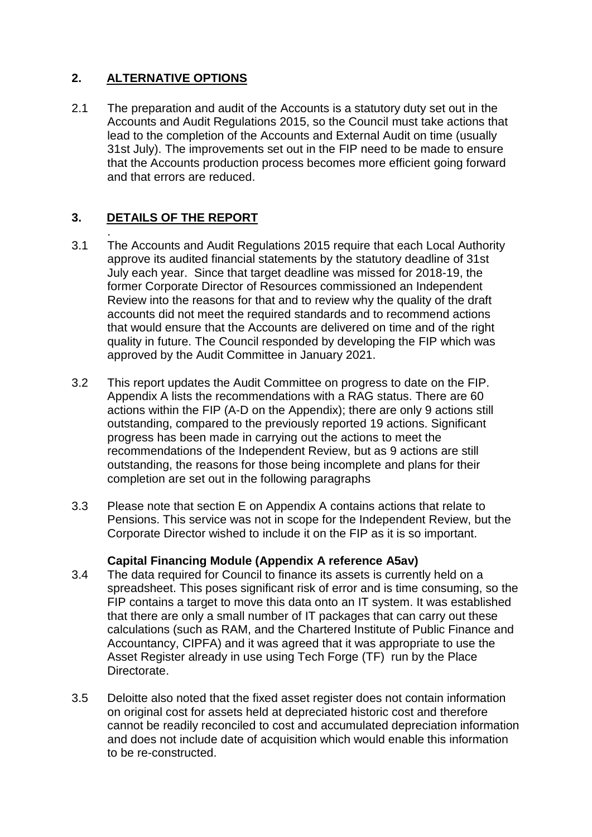# **2. ALTERNATIVE OPTIONS**

2.1 The preparation and audit of the Accounts is a statutory duty set out in the Accounts and Audit Regulations 2015, so the Council must take actions that lead to the completion of the Accounts and External Audit on time (usually 31st July). The improvements set out in the FIP need to be made to ensure that the Accounts production process becomes more efficient going forward and that errors are reduced.

# **3. DETAILS OF THE REPORT**

.

- 3.1 The Accounts and Audit Regulations 2015 require that each Local Authority approve its audited financial statements by the statutory deadline of 31st July each year. Since that target deadline was missed for 2018-19, the former Corporate Director of Resources commissioned an Independent Review into the reasons for that and to review why the quality of the draft accounts did not meet the required standards and to recommend actions that would ensure that the Accounts are delivered on time and of the right quality in future. The Council responded by developing the FIP which was approved by the Audit Committee in January 2021.
- 3.2 This report updates the Audit Committee on progress to date on the FIP. Appendix A lists the recommendations with a RAG status. There are 60 actions within the FIP (A-D on the Appendix); there are only 9 actions still outstanding, compared to the previously reported 19 actions. Significant progress has been made in carrying out the actions to meet the recommendations of the Independent Review, but as 9 actions are still outstanding, the reasons for those being incomplete and plans for their completion are set out in the following paragraphs
- 3.3 Please note that section E on Appendix A contains actions that relate to Pensions. This service was not in scope for the Independent Review, but the Corporate Director wished to include it on the FIP as it is so important.

# **Capital Financing Module (Appendix A reference A5av)**

- 3.4 The data required for Council to finance its assets is currently held on a spreadsheet. This poses significant risk of error and is time consuming, so the FIP contains a target to move this data onto an IT system. It was established that there are only a small number of IT packages that can carry out these calculations (such as RAM, and the Chartered Institute of Public Finance and Accountancy, CIPFA) and it was agreed that it was appropriate to use the Asset Register already in use using Tech Forge (TF) run by the Place **Directorate**
- 3.5 Deloitte also noted that the fixed asset register does not contain information on original cost for assets held at depreciated historic cost and therefore cannot be readily reconciled to cost and accumulated depreciation information and does not include date of acquisition which would enable this information to be re-constructed.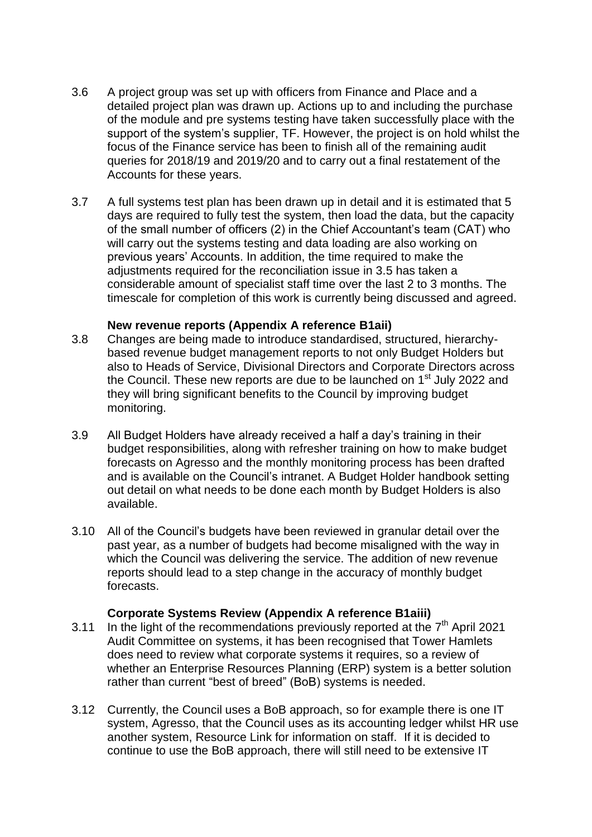- 3.6 A project group was set up with officers from Finance and Place and a detailed project plan was drawn up. Actions up to and including the purchase of the module and pre systems testing have taken successfully place with the support of the system's supplier, TF. However, the project is on hold whilst the focus of the Finance service has been to finish all of the remaining audit queries for 2018/19 and 2019/20 and to carry out a final restatement of the Accounts for these years.
- 3.7 A full systems test plan has been drawn up in detail and it is estimated that 5 days are required to fully test the system, then load the data, but the capacity of the small number of officers (2) in the Chief Accountant's team (CAT) who will carry out the systems testing and data loading are also working on previous years' Accounts. In addition, the time required to make the adjustments required for the reconciliation issue in 3.5 has taken a considerable amount of specialist staff time over the last 2 to 3 months. The timescale for completion of this work is currently being discussed and agreed.

#### **New revenue reports (Appendix A reference B1aii)**

- 3.8 Changes are being made to introduce standardised, structured, hierarchybased revenue budget management reports to not only Budget Holders but also to Heads of Service, Divisional Directors and Corporate Directors across the Council. These new reports are due to be launched on 1st July 2022 and they will bring significant benefits to the Council by improving budget monitoring.
- 3.9 All Budget Holders have already received a half a day's training in their budget responsibilities, along with refresher training on how to make budget forecasts on Agresso and the monthly monitoring process has been drafted and is available on the Council's intranet. A Budget Holder handbook setting out detail on what needs to be done each month by Budget Holders is also available.
- 3.10 All of the Council's budgets have been reviewed in granular detail over the past year, as a number of budgets had become misaligned with the way in which the Council was delivering the service. The addition of new revenue reports should lead to a step change in the accuracy of monthly budget forecasts.

## **Corporate Systems Review (Appendix A reference B1aiii)**

- 3.11 In the light of the recommendations previously reported at the  $7<sup>th</sup>$  April 2021 Audit Committee on systems, it has been recognised that Tower Hamlets does need to review what corporate systems it requires, so a review of whether an Enterprise Resources Planning (ERP) system is a better solution rather than current "best of breed" (BoB) systems is needed.
- 3.12 Currently, the Council uses a BoB approach, so for example there is one IT system, Agresso, that the Council uses as its accounting ledger whilst HR use another system, Resource Link for information on staff. If it is decided to continue to use the BoB approach, there will still need to be extensive IT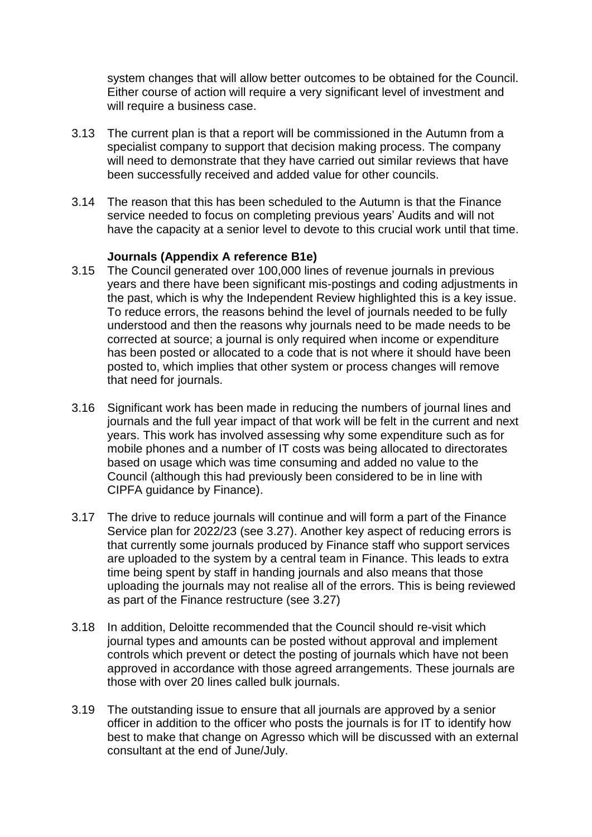system changes that will allow better outcomes to be obtained for the Council. Either course of action will require a very significant level of investment and will require a business case.

- 3.13 The current plan is that a report will be commissioned in the Autumn from a specialist company to support that decision making process. The company will need to demonstrate that they have carried out similar reviews that have been successfully received and added value for other councils.
- 3.14 The reason that this has been scheduled to the Autumn is that the Finance service needed to focus on completing previous years' Audits and will not have the capacity at a senior level to devote to this crucial work until that time.

## **Journals (Appendix A reference B1e)**

- 3.15 The Council generated over 100,000 lines of revenue journals in previous years and there have been significant mis-postings and coding adjustments in the past, which is why the Independent Review highlighted this is a key issue. To reduce errors, the reasons behind the level of journals needed to be fully understood and then the reasons why journals need to be made needs to be corrected at source; a journal is only required when income or expenditure has been posted or allocated to a code that is not where it should have been posted to, which implies that other system or process changes will remove that need for journals.
- 3.16 Significant work has been made in reducing the numbers of journal lines and journals and the full year impact of that work will be felt in the current and next years. This work has involved assessing why some expenditure such as for mobile phones and a number of IT costs was being allocated to directorates based on usage which was time consuming and added no value to the Council (although this had previously been considered to be in line with CIPFA guidance by Finance).
- 3.17 The drive to reduce journals will continue and will form a part of the Finance Service plan for 2022/23 (see 3.27). Another key aspect of reducing errors is that currently some journals produced by Finance staff who support services are uploaded to the system by a central team in Finance. This leads to extra time being spent by staff in handing journals and also means that those uploading the journals may not realise all of the errors. This is being reviewed as part of the Finance restructure (see 3.27)
- 3.18 In addition, Deloitte recommended that the Council should re-visit which journal types and amounts can be posted without approval and implement controls which prevent or detect the posting of journals which have not been approved in accordance with those agreed arrangements. These journals are those with over 20 lines called bulk journals.
- 3.19 The outstanding issue to ensure that all journals are approved by a senior officer in addition to the officer who posts the journals is for IT to identify how best to make that change on Agresso which will be discussed with an external consultant at the end of June/July.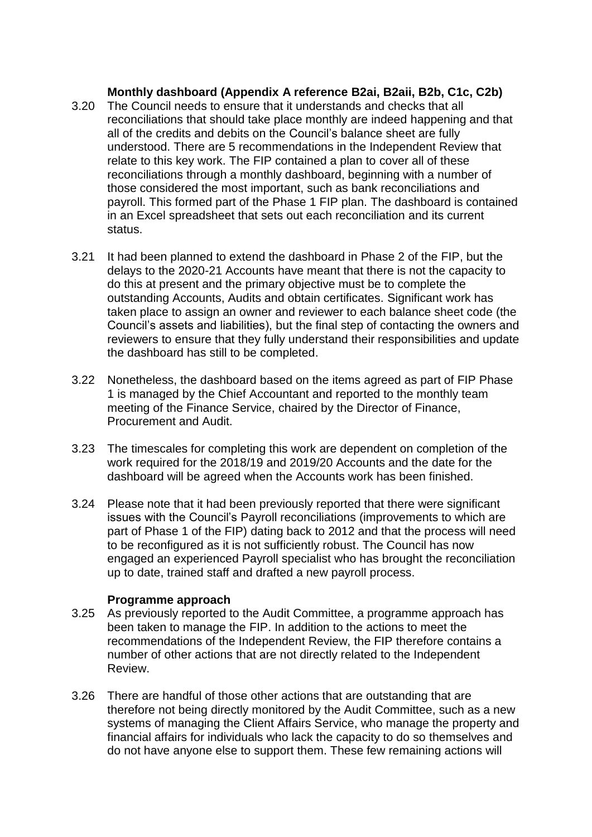## **Monthly dashboard (Appendix A reference B2ai, B2aii, B2b, C1c, C2b)**

- 3.20 The Council needs to ensure that it understands and checks that all reconciliations that should take place monthly are indeed happening and that all of the credits and debits on the Council's balance sheet are fully understood. There are 5 recommendations in the Independent Review that relate to this key work. The FIP contained a plan to cover all of these reconciliations through a monthly dashboard, beginning with a number of those considered the most important, such as bank reconciliations and payroll. This formed part of the Phase 1 FIP plan. The dashboard is contained in an Excel spreadsheet that sets out each reconciliation and its current status.
- 3.21 It had been planned to extend the dashboard in Phase 2 of the FIP, but the delays to the 2020-21 Accounts have meant that there is not the capacity to do this at present and the primary objective must be to complete the outstanding Accounts, Audits and obtain certificates. Significant work has taken place to assign an owner and reviewer to each balance sheet code (the Council's assets and liabilities), but the final step of contacting the owners and reviewers to ensure that they fully understand their responsibilities and update the dashboard has still to be completed.
- 3.22 Nonetheless, the dashboard based on the items agreed as part of FIP Phase 1 is managed by the Chief Accountant and reported to the monthly team meeting of the Finance Service, chaired by the Director of Finance, Procurement and Audit.
- 3.23 The timescales for completing this work are dependent on completion of the work required for the 2018/19 and 2019/20 Accounts and the date for the dashboard will be agreed when the Accounts work has been finished.
- 3.24 Please note that it had been previously reported that there were significant issues with the Council's Payroll reconciliations (improvements to which are part of Phase 1 of the FIP) dating back to 2012 and that the process will need to be reconfigured as it is not sufficiently robust. The Council has now engaged an experienced Payroll specialist who has brought the reconciliation up to date, trained staff and drafted a new payroll process.

#### **Programme approach**

- 3.25 As previously reported to the Audit Committee, a programme approach has been taken to manage the FIP. In addition to the actions to meet the recommendations of the Independent Review, the FIP therefore contains a number of other actions that are not directly related to the Independent Review.
- 3.26 There are handful of those other actions that are outstanding that are therefore not being directly monitored by the Audit Committee, such as a new systems of managing the Client Affairs Service, who manage the property and financial affairs for individuals who lack the capacity to do so themselves and do not have anyone else to support them. These few remaining actions will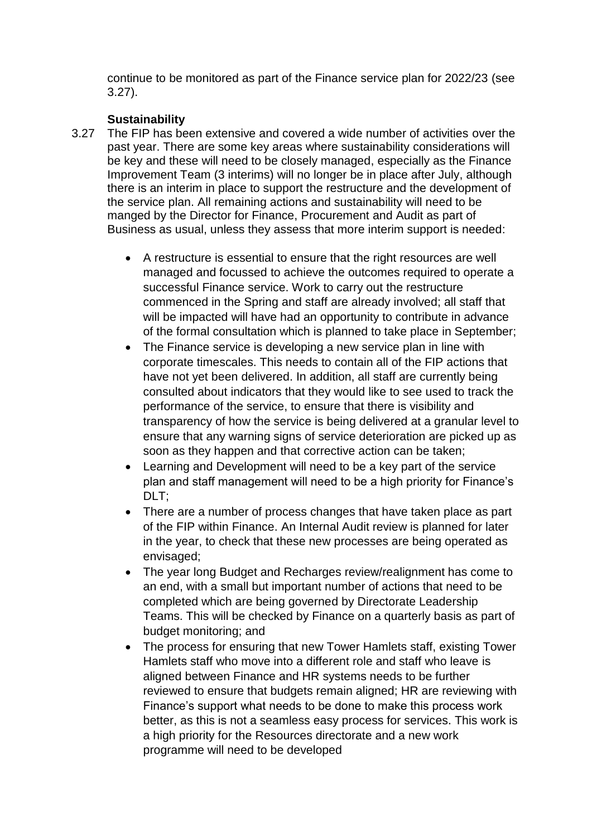continue to be monitored as part of the Finance service plan for 2022/23 (see 3.27).

## **Sustainability**

- 3.27 The FIP has been extensive and covered a wide number of activities over the past year. There are some key areas where sustainability considerations will be key and these will need to be closely managed, especially as the Finance Improvement Team (3 interims) will no longer be in place after July, although there is an interim in place to support the restructure and the development of the service plan. All remaining actions and sustainability will need to be manged by the Director for Finance, Procurement and Audit as part of Business as usual, unless they assess that more interim support is needed:
	- A restructure is essential to ensure that the right resources are well managed and focussed to achieve the outcomes required to operate a successful Finance service. Work to carry out the restructure commenced in the Spring and staff are already involved; all staff that will be impacted will have had an opportunity to contribute in advance of the formal consultation which is planned to take place in September;
	- The Finance service is developing a new service plan in line with corporate timescales. This needs to contain all of the FIP actions that have not yet been delivered. In addition, all staff are currently being consulted about indicators that they would like to see used to track the performance of the service, to ensure that there is visibility and transparency of how the service is being delivered at a granular level to ensure that any warning signs of service deterioration are picked up as soon as they happen and that corrective action can be taken;
	- Learning and Development will need to be a key part of the service plan and staff management will need to be a high priority for Finance's DLT:
	- There are a number of process changes that have taken place as part of the FIP within Finance. An Internal Audit review is planned for later in the year, to check that these new processes are being operated as envisaged;
	- The year long Budget and Recharges review/realignment has come to an end, with a small but important number of actions that need to be completed which are being governed by Directorate Leadership Teams. This will be checked by Finance on a quarterly basis as part of budget monitoring; and
	- The process for ensuring that new Tower Hamlets staff, existing Tower Hamlets staff who move into a different role and staff who leave is aligned between Finance and HR systems needs to be further reviewed to ensure that budgets remain aligned; HR are reviewing with Finance's support what needs to be done to make this process work better, as this is not a seamless easy process for services. This work is a high priority for the Resources directorate and a new work programme will need to be developed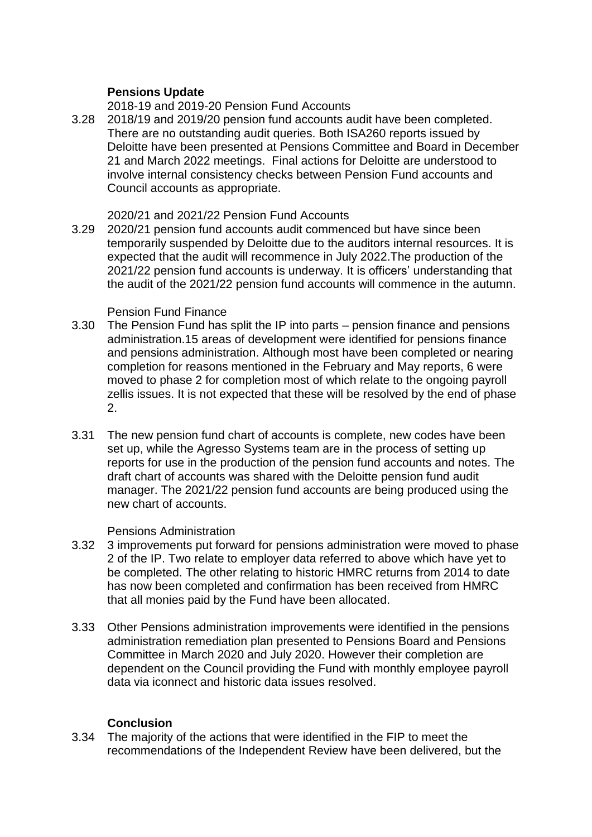## **Pensions Update**

2018-19 and 2019-20 Pension Fund Accounts

3.28 2018/19 and 2019/20 pension fund accounts audit have been completed. There are no outstanding audit queries. Both ISA260 reports issued by Deloitte have been presented at Pensions Committee and Board in December 21 and March 2022 meetings. Final actions for Deloitte are understood to involve internal consistency checks between Pension Fund accounts and Council accounts as appropriate.

#### 2020/21 and 2021/22 Pension Fund Accounts

3.29 2020/21 pension fund accounts audit commenced but have since been temporarily suspended by Deloitte due to the auditors internal resources. It is expected that the audit will recommence in July 2022.The production of the 2021/22 pension fund accounts is underway. It is officers' understanding that the audit of the 2021/22 pension fund accounts will commence in the autumn.

#### Pension Fund Finance

- 3.30 The Pension Fund has split the IP into parts pension finance and pensions administration.15 areas of development were identified for pensions finance and pensions administration. Although most have been completed or nearing completion for reasons mentioned in the February and May reports, 6 were moved to phase 2 for completion most of which relate to the ongoing payroll zellis issues. It is not expected that these will be resolved by the end of phase 2.
- 3.31 The new pension fund chart of accounts is complete, new codes have been set up, while the Agresso Systems team are in the process of setting up reports for use in the production of the pension fund accounts and notes. The draft chart of accounts was shared with the Deloitte pension fund audit manager. The 2021/22 pension fund accounts are being produced using the new chart of accounts.

## Pensions Administration

- 3.32 3 improvements put forward for pensions administration were moved to phase 2 of the IP. Two relate to employer data referred to above which have yet to be completed. The other relating to historic HMRC returns from 2014 to date has now been completed and confirmation has been received from HMRC that all monies paid by the Fund have been allocated.
- 3.33 Other Pensions administration improvements were identified in the pensions administration remediation plan presented to Pensions Board and Pensions Committee in March 2020 and July 2020. However their completion are dependent on the Council providing the Fund with monthly employee payroll data via iconnect and historic data issues resolved.

## **Conclusion**

3.34 The majority of the actions that were identified in the FIP to meet the recommendations of the Independent Review have been delivered, but the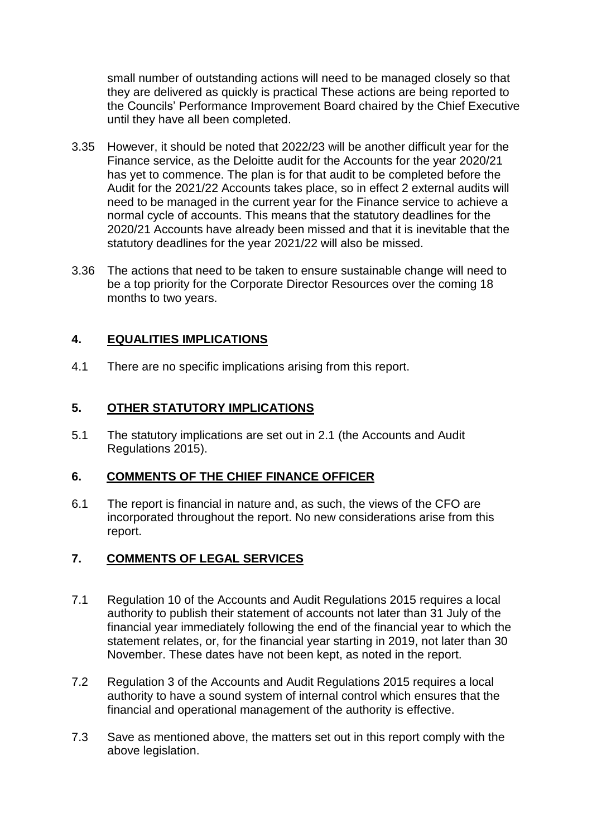small number of outstanding actions will need to be managed closely so that they are delivered as quickly is practical These actions are being reported to the Councils' Performance Improvement Board chaired by the Chief Executive until they have all been completed.

- 3.35 However, it should be noted that 2022/23 will be another difficult year for the Finance service, as the Deloitte audit for the Accounts for the year 2020/21 has yet to commence. The plan is for that audit to be completed before the Audit for the 2021/22 Accounts takes place, so in effect 2 external audits will need to be managed in the current year for the Finance service to achieve a normal cycle of accounts. This means that the statutory deadlines for the 2020/21 Accounts have already been missed and that it is inevitable that the statutory deadlines for the year 2021/22 will also be missed.
- 3.36 The actions that need to be taken to ensure sustainable change will need to be a top priority for the Corporate Director Resources over the coming 18 months to two years.

# **4. EQUALITIES IMPLICATIONS**

4.1 There are no specific implications arising from this report.

## **5. OTHER STATUTORY IMPLICATIONS**

5.1 The statutory implications are set out in 2.1 (the Accounts and Audit Regulations 2015).

## **6. COMMENTS OF THE CHIEF FINANCE OFFICER**

6.1 The report is financial in nature and, as such, the views of the CFO are incorporated throughout the report. No new considerations arise from this report.

## **7. COMMENTS OF LEGAL SERVICES**

- 7.1 Regulation 10 of the Accounts and Audit Regulations 2015 requires a local authority to publish their statement of accounts not later than 31 July of the financial year immediately following the end of the financial year to which the statement relates, or, for the financial year starting in 2019, not later than 30 November. These dates have not been kept, as noted in the report.
- 7.2 Regulation 3 of the Accounts and Audit Regulations 2015 requires a local authority to have a sound system of internal control which ensures that the financial and operational management of the authority is effective.
- 7.3 Save as mentioned above, the matters set out in this report comply with the above legislation.